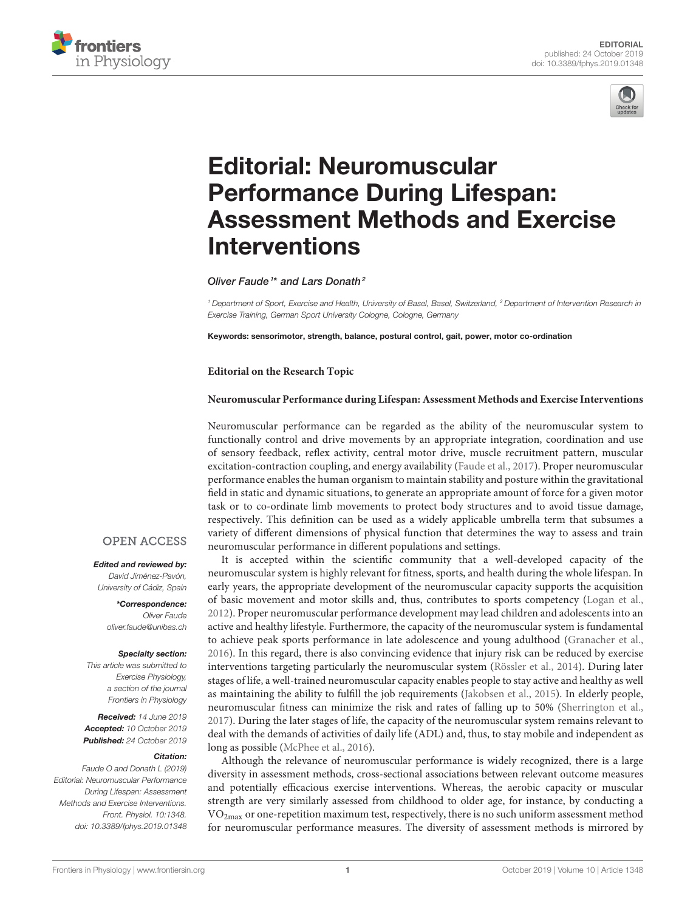



# Editorial: Neuromuscular Performance During Lifespan: [Assessment Methods and Exercise](https://www.frontiersin.org/articles/10.3389/fphys.2019.01348/full) Interventions

### [Oliver Faude](http://loop.frontiersin.org/people/359473/overview)<sup>1\*</sup> and [Lars Donath](http://loop.frontiersin.org/people/361062/overview)<sup>2</sup>

<sup>1</sup> Department of Sport, Exercise and Health, University of Basel, Basel, Switzerland, <sup>2</sup> Department of Intervention Research in Exercise Training, German Sport University Cologne, Cologne, Germany

Keywords: sensorimotor, strength, balance, postural control, gait, power, motor co-ordination

#### **Editorial on the Research Topic**

#### **[Neuromuscular Performance during Lifespan: Assessment Methods and Exercise Interventions](https://www.frontiersin.org/research-topics/7210/neuromuscular-performance-during-lifespan-assessment-methods-and-exercise-interventions)**

Neuromuscular performance can be regarded as the ability of the neuromuscular system to functionally control and drive movements by an appropriate integration, coordination and use of sensory feedback, reflex activity, central motor drive, muscle recruitment pattern, muscular excitation-contraction coupling, and energy availability [\(Faude et al., 2017\)](#page-3-0). Proper neuromuscular performance enables the human organism to maintain stability and posture within the gravitational field in static and dynamic situations, to generate an appropriate amount of force for a given motor task or to co-ordinate limb movements to protect body structures and to avoid tissue damage, respectively. This definition can be used as a widely applicable umbrella term that subsumes a variety of different dimensions of physical function that determines the way to assess and train neuromuscular performance in different populations and settings.

It is accepted within the scientific community that a well-developed capacity of the neuromuscular system is highly relevant for fitness, sports, and health during the whole lifespan. In early years, the appropriate development of the neuromuscular capacity supports the acquisition of basic movement and motor skills and, thus, contributes to sports competency [\(Logan et al.,](#page-4-0) [2012\)](#page-4-0). Proper neuromuscular performance development may lead children and adolescents into an active and healthy lifestyle. Furthermore, the capacity of the neuromuscular system is fundamental to achieve peak sports performance in late adolescence and young adulthood [\(Granacher et al.,](#page-3-1) [2016\)](#page-3-1). In this regard, there is also convincing evidence that injury risk can be reduced by exercise interventions targeting particularly the neuromuscular system [\(Rössler et al., 2014\)](#page-4-1). During later stages of life, a well-trained neuromuscular capacity enables people to stay active and healthy as well as maintaining the ability to fulfill the job requirements [\(Jakobsen et al., 2015\)](#page-3-2). In elderly people, neuromuscular fitness can minimize the risk and rates of falling up to 50% [\(Sherrington et al.,](#page-4-2) [2017\)](#page-4-2). During the later stages of life, the capacity of the neuromuscular system remains relevant to deal with the demands of activities of daily life (ADL) and, thus, to stay mobile and independent as long as possible [\(McPhee et al., 2016\)](#page-4-3).

Although the relevance of neuromuscular performance is widely recognized, there is a large diversity in assessment methods, cross-sectional associations between relevant outcome measures and potentially efficacious exercise interventions. Whereas, the aerobic capacity or muscular strength are very similarly assessed from childhood to older age, for instance, by conducting a VO2max or one-repetition maximum test, respectively, there is no such uniform assessment method for neuromuscular performance measures. The diversity of assessment methods is mirrored by

# **OPEN ACCESS**

## Edited and reviewed by:

David Jiménez-Pavón, University of Cádiz, Spain

> \*Correspondence: Oliver Faude [oliver.faude@unibas.ch](mailto:oliver.faude@unibas.ch)

#### Specialty section:

This article was submitted to Exercise Physiology, a section of the journal Frontiers in Physiology

Received: 14 June 2019 Accepted: 10 October 2019 Published: 24 October 2019

#### Citation:

Faude O and Donath L (2019) Editorial: Neuromuscular Performance During Lifespan: Assessment Methods and Exercise Interventions. Front. Physiol. 10:1348. doi: [10.3389/fphys.2019.01348](https://doi.org/10.3389/fphys.2019.01348)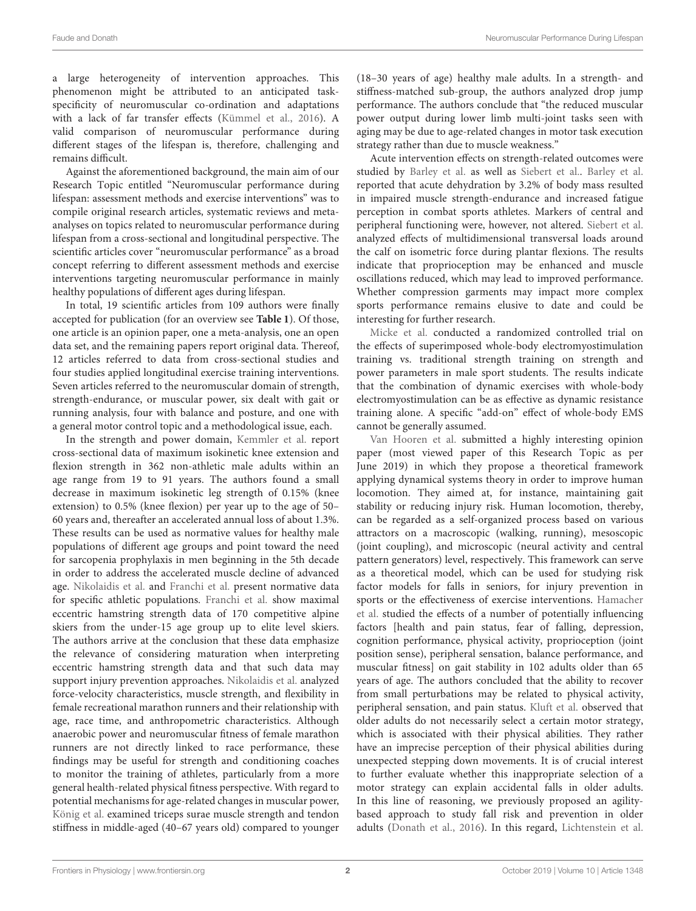a large heterogeneity of intervention approaches. This phenomenon might be attributed to an anticipated taskspecificity of neuromuscular co-ordination and adaptations with a lack of far transfer effects [\(Kümmel et al., 2016\)](#page-4-4). A valid comparison of neuromuscular performance during different stages of the lifespan is, therefore, challenging and remains difficult.

Against the aforementioned background, the main aim of our Research Topic entitled "Neuromuscular performance during lifespan: assessment methods and exercise interventions" was to compile original research articles, systematic reviews and metaanalyses on topics related to neuromuscular performance during lifespan from a cross-sectional and longitudinal perspective. The scientific articles cover "neuromuscular performance" as a broad concept referring to different assessment methods and exercise interventions targeting neuromuscular performance in mainly healthy populations of different ages during lifespan.

In total, 19 scientific articles from 109 authors were finally accepted for publication (for an overview see **[Table 1](#page-2-0)**). Of those, one article is an opinion paper, one a meta-analysis, one an open data set, and the remaining papers report original data. Thereof, 12 articles referred to data from cross-sectional studies and four studies applied longitudinal exercise training interventions. Seven articles referred to the neuromuscular domain of strength, strength-endurance, or muscular power, six dealt with gait or running analysis, four with balance and posture, and one with a general motor control topic and a methodological issue, each.

In the strength and power domain, [Kemmler et al.](https://doi.org/10.3389/fphys.2018.01524) report cross-sectional data of maximum isokinetic knee extension and flexion strength in 362 non-athletic male adults within an age range from 19 to 91 years. The authors found a small decrease in maximum isokinetic leg strength of 0.15% (knee extension) to 0.5% (knee flexion) per year up to the age of 50– 60 years and, thereafter an accelerated annual loss of about 1.3%. These results can be used as normative values for healthy male populations of different age groups and point toward the need for sarcopenia prophylaxis in men beginning in the 5th decade in order to address the accelerated muscle decline of advanced age. [Nikolaidis et al.](https://doi.org/10.3389/fphys.2018.01563) and [Franchi et al.](https://doi.org/10.3389/fphys.2019.00088) present normative data for specific athletic populations. [Franchi et al.](https://doi.org/10.3389/fphys.2019.00088) show maximal eccentric hamstring strength data of 170 competitive alpine skiers from the under-15 age group up to elite level skiers. The authors arrive at the conclusion that these data emphasize the relevance of considering maturation when interpreting eccentric hamstring strength data and that such data may support injury prevention approaches. [Nikolaidis et al.](https://doi.org/10.3389/fphys.2018.01563) analyzed force-velocity characteristics, muscle strength, and flexibility in female recreational marathon runners and their relationship with age, race time, and anthropometric characteristics. Although anaerobic power and neuromuscular fitness of female marathon runners are not directly linked to race performance, these findings may be useful for strength and conditioning coaches to monitor the training of athletes, particularly from a more general health-related physical fitness perspective. With regard to potential mechanisms for age-related changes in muscular power, [König et al.](https://doi.org/10.3389/fphys.2018.01345) examined triceps surae muscle strength and tendon stiffness in middle-aged (40–67 years old) compared to younger (18–30 years of age) healthy male adults. In a strength- and stiffness-matched sub-group, the authors analyzed drop jump performance. The authors conclude that "the reduced muscular power output during lower limb multi-joint tasks seen with aging may be due to age-related changes in motor task execution strategy rather than due to muscle weakness."

Acute intervention effects on strength-related outcomes were studied by [Barley et al.](https://doi.org/10.3389/fphys.2018.01562) as well as [Siebert et al..](https://doi.org/10.3389/fphys.2018.01148) [Barley et al.](https://doi.org/10.3389/fphys.2018.01562) reported that acute dehydration by 3.2% of body mass resulted in impaired muscle strength-endurance and increased fatigue perception in combat sports athletes. Markers of central and peripheral functioning were, however, not altered. [Siebert et al.](https://doi.org/10.3389/fphys.2018.01148) analyzed effects of multidimensional transversal loads around the calf on isometric force during plantar flexions. The results indicate that proprioception may be enhanced and muscle oscillations reduced, which may lead to improved performance. Whether compression garments may impact more complex sports performance remains elusive to date and could be interesting for further research.

[Micke et al.](https://doi.org/10.3389/fphys.2018.01719) conducted a randomized controlled trial on the effects of superimposed whole-body electromyostimulation training vs. traditional strength training on strength and power parameters in male sport students. The results indicate that the combination of dynamic exercises with whole-body electromyostimulation can be as effective as dynamic resistance training alone. A specific "add-on" effect of whole-body EMS cannot be generally assumed.

[Van Hooren et al.](https://doi.org/10.3389/fphys.2018.01934) submitted a highly interesting opinion paper (most viewed paper of this Research Topic as per June 2019) in which they propose a theoretical framework applying dynamical systems theory in order to improve human locomotion. They aimed at, for instance, maintaining gait stability or reducing injury risk. Human locomotion, thereby, can be regarded as a self-organized process based on various attractors on a macroscopic (walking, running), mesoscopic (joint coupling), and microscopic (neural activity and central pattern generators) level, respectively. This framework can serve as a theoretical model, which can be used for studying risk factor models for falls in seniors, for injury prevention in sports or the effectiveness of exercise interventions. Hamacher et al. [studied the effects of a number of potentially influencing](https://doi.org/10.3389/fphys.2018.01955) factors [health and pain status, fear of falling, depression, cognition performance, physical activity, proprioception (joint position sense), peripheral sensation, balance performance, and muscular fitness] on gait stability in 102 adults older than 65 years of age. The authors concluded that the ability to recover from small perturbations may be related to physical activity, peripheral sensation, and pain status. [Kluft et al.](https://doi.org/10.3389/fphys.2018.01419) observed that older adults do not necessarily select a certain motor strategy, which is associated with their physical abilities. They rather have an imprecise perception of their physical abilities during unexpected stepping down movements. It is of crucial interest to further evaluate whether this inappropriate selection of a motor strategy can explain accidental falls in older adults. In this line of reasoning, we previously proposed an agilitybased approach to study fall risk and prevention in older adults [\(Donath et al., 2016\)](#page-3-3). In this regard, [Lichtenstein et al.](https://doi.org/10.3389/fphys.2019.00044)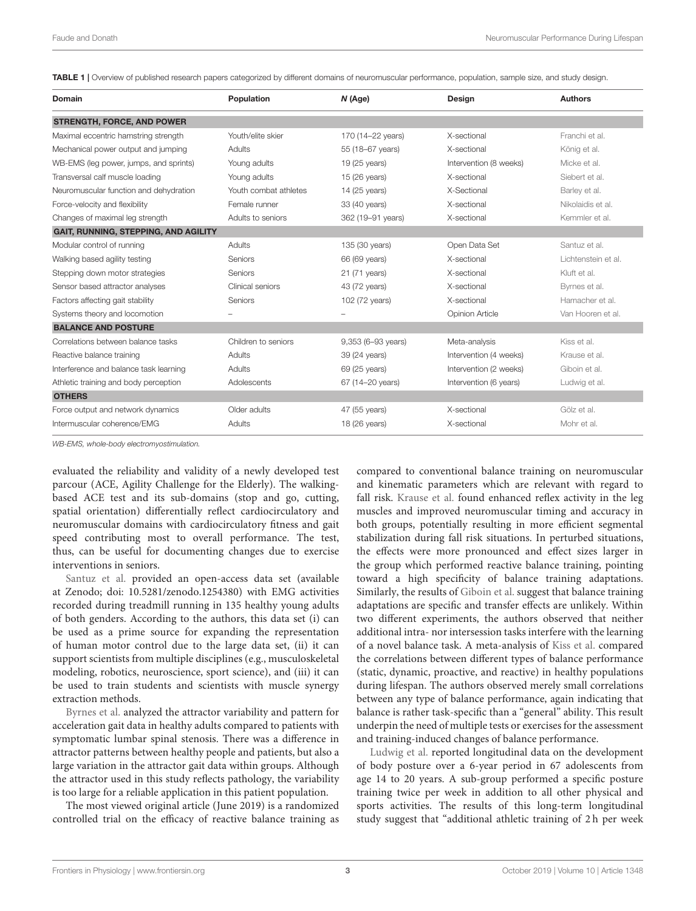<span id="page-2-0"></span>TABLE 1 | Overview of published research papers categorized by different domains of neuromuscular performance, population, sample size, and study design.

| Domain                                      | Population            | $N$ (Age)          | Design                 | <b>Authors</b>      |
|---------------------------------------------|-----------------------|--------------------|------------------------|---------------------|
| <b>STRENGTH, FORCE, AND POWER</b>           |                       |                    |                        |                     |
| Maximal eccentric hamstring strength        | Youth/elite skier     | 170 (14-22 years)  | X-sectional            | Franchi et al.      |
| Mechanical power output and jumping         | Adults                | 55 (18-67 years)   | X-sectional            | König et al.        |
| WB-EMS (leg power, jumps, and sprints)      | Young adults          | 19 (25 years)      | Intervention (8 weeks) | Micke et al.        |
| Transversal calf muscle loading             | Young adults          | 15 (26 years)      | X-sectional            | Siebert et al.      |
| Neuromuscular function and dehydration      | Youth combat athletes | 14 (25 years)      | X-Sectional            | Barley et al.       |
| Force-velocity and flexibility              | Female runner         | 33 (40 years)      | X-sectional            | Nikolaidis et al.   |
| Changes of maximal leg strength             | Adults to seniors     | 362 (19-91 years)  | X-sectional            | Kemmler et al.      |
| <b>GAIT, RUNNING, STEPPING, AND AGILITY</b> |                       |                    |                        |                     |
| Modular control of running                  | Adults                | 135 (30 years)     | Open Data Set          | Santuz et al.       |
| Walking based agility testing               | Seniors               | 66 (69 years)      | X-sectional            | Lichtenstein et al. |
| Stepping down motor strategies              | Seniors               | 21 (71 years)      | X-sectional            | Kluft et al.        |
| Sensor based attractor analyses             | Clinical seniors      | 43 (72 years)      | X-sectional            | Byrnes et al.       |
| Factors affecting gait stability            | Seniors               | 102 (72 years)     | X-sectional            | Hamacher et al.     |
| Systems theory and locomotion               |                       |                    | <b>Opinion Article</b> | Van Hooren et al.   |
| <b>BALANCE AND POSTURE</b>                  |                       |                    |                        |                     |
| Correlations between balance tasks          | Children to seniors   | 9,353 (6-93 years) | Meta-analysis          | Kiss et al.         |
| Reactive balance training                   | Adults                | 39 (24 years)      | Intervention (4 weeks) | Krause et al.       |
| Interference and balance task learning      | Adults                | 69 (25 years)      | Intervention (2 weeks) | Giboin et al.       |
| Athletic training and body perception       | Adolescents           | 67 (14-20 years)   | Intervention (6 years) | Ludwig et al.       |
| <b>OTHERS</b>                               |                       |                    |                        |                     |
| Force output and network dynamics           | Older adults          | 47 (55 years)      | X-sectional            | Gölz et al.         |
| Intermuscular coherence/EMG                 | Adults                | 18 (26 years)      | X-sectional            | Mohr et al.         |

WB-EMS, whole-body electromyostimulation.

evaluated the reliability and validity of a newly developed test parcour (ACE, Agility Challenge for the Elderly). The walkingbased ACE test and its sub-domains (stop and go, cutting, spatial orientation) differentially reflect cardiocirculatory and neuromuscular domains with cardiocirculatory fitness and gait speed contributing most to overall performance. The test, thus, can be useful for documenting changes due to exercise interventions in seniors.

[Santuz et al.](https://doi.org/10.3389/fphys.2018.01509) provided an open-access data set (available at Zenodo; doi: [10.5281/zenodo.1254380\)](https://doi.org/10.5281/zenodo.1254380) with EMG activities recorded during treadmill running in 135 healthy young adults of both genders. According to the authors, this data set (i) can be used as a prime source for expanding the representation of human motor control due to the large data set, (ii) it can support scientists from multiple disciplines (e.g., musculoskeletal modeling, robotics, neuroscience, sport science), and (iii) it can be used to train students and scientists with muscle synergy extraction methods.

[Byrnes et al.](https://doi.org/10.3389/fphys.2018.01095) analyzed the attractor variability and pattern for acceleration gait data in healthy adults compared to patients with symptomatic lumbar spinal stenosis. There was a difference in attractor patterns between healthy people and patients, but also a large variation in the attractor gait data within groups. Although the attractor used in this study reflects pathology, the variability is too large for a reliable application in this patient population.

The most viewed original article (June 2019) is a randomized controlled trial on the efficacy of reactive balance training as compared to conventional balance training on neuromuscular and kinematic parameters which are relevant with regard to fall risk. [Krause et al.](https://doi.org/10.3389/fphys.2018.01075) found enhanced reflex activity in the leg muscles and improved neuromuscular timing and accuracy in both groups, potentially resulting in more efficient segmental stabilization during fall risk situations. In perturbed situations, the effects were more pronounced and effect sizes larger in the group which performed reactive balance training, pointing toward a high specificity of balance training adaptations. Similarly, the results of [Giboin et al.](https://doi.org/10.3389/fphys.2018.01319) suggest that balance training adaptations are specific and transfer effects are unlikely. Within two different experiments, the authors observed that neither additional intra- nor intersession tasks interfere with the learning of a novel balance task. A meta-analysis of [Kiss et al.](https://doi.org/10.3389/fphys.2018.01366) compared the correlations between different types of balance performance (static, dynamic, proactive, and reactive) in healthy populations during lifespan. The authors observed merely small correlations between any type of balance performance, again indicating that balance is rather task-specific than a "general" ability. This result underpin the need of multiple tests or exercises for the assessment and training-induced changes of balance performance.

[Ludwig et al.](https://doi.org/10.3389/fphys.2018.01620) reported longitudinal data on the development of body posture over a 6-year period in 67 adolescents from age 14 to 20 years. A sub-group performed a specific posture training twice per week in addition to all other physical and sports activities. The results of this long-term longitudinal study suggest that "additional athletic training of 2 h per week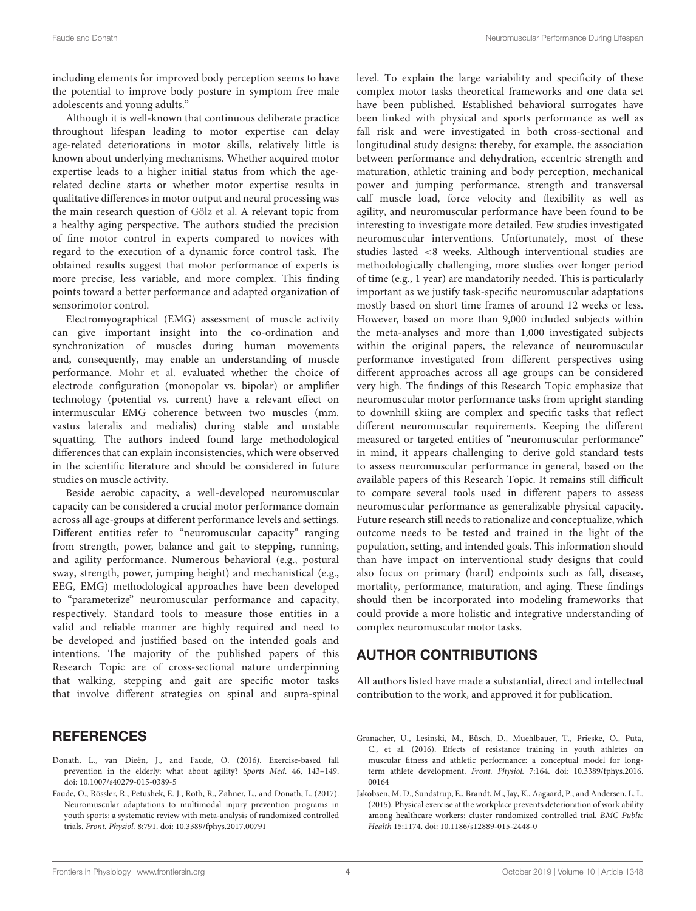including elements for improved body perception seems to have the potential to improve body posture in symptom free male adolescents and young adults."

Although it is well-known that continuous deliberate practice throughout lifespan leading to motor expertise can delay age-related deteriorations in motor skills, relatively little is known about underlying mechanisms. Whether acquired motor expertise leads to a higher initial status from which the agerelated decline starts or whether motor expertise results in qualitative differences in motor output and neural processing was the main research question of [Gölz et al.](https://doi.org/10.3389/fphys.2018.01540) A relevant topic from a healthy aging perspective. The authors studied the precision of fine motor control in experts compared to novices with regard to the execution of a dynamic force control task. The obtained results suggest that motor performance of experts is more precise, less variable, and more complex. This finding points toward a better performance and adapted organization of sensorimotor control.

Electromyographical (EMG) assessment of muscle activity can give important insight into the co-ordination and synchronization of muscles during human movements and, consequently, may enable an understanding of muscle performance. [Mohr et al.](https://doi.org/10.3389/fphys.2018.00566) evaluated whether the choice of electrode configuration (monopolar vs. bipolar) or amplifier technology (potential vs. current) have a relevant effect on intermuscular EMG coherence between two muscles (mm. vastus lateralis and medialis) during stable and unstable squatting. The authors indeed found large methodological differences that can explain inconsistencies, which were observed in the scientific literature and should be considered in future studies on muscle activity.

Beside aerobic capacity, a well-developed neuromuscular capacity can be considered a crucial motor performance domain across all age-groups at different performance levels and settings. Different entities refer to "neuromuscular capacity" ranging from strength, power, balance and gait to stepping, running, and agility performance. Numerous behavioral (e.g., postural sway, strength, power, jumping height) and mechanistical (e.g., EEG, EMG) methodological approaches have been developed to "parameterize" neuromuscular performance and capacity, respectively. Standard tools to measure those entities in a valid and reliable manner are highly required and need to be developed and justified based on the intended goals and intentions. The majority of the published papers of this Research Topic are of cross-sectional nature underpinning that walking, stepping and gait are specific motor tasks that involve different strategies on spinal and supra-spinal

# **REFERENCES**

- <span id="page-3-3"></span>Donath, L., van Dieën, J., and Faude, O. (2016). Exercise-based fall prevention in the elderly: what about agility? Sports Med. 46, 143–149. doi: [10.1007/s40279-015-0389-5](https://doi.org/10.1007/s40279-015-0389-5)
- <span id="page-3-0"></span>Faude, O., Rössler, R., Petushek, E. J., Roth, R., Zahner, L., and Donath, L. (2017). Neuromuscular adaptations to multimodal injury prevention programs in youth sports: a systematic review with meta-analysis of randomized controlled trials. Front. Physiol. 8:791. doi: [10.3389/fphys.2017.00791](https://doi.org/10.3389/fphys.2017.00791)

level. To explain the large variability and specificity of these complex motor tasks theoretical frameworks and one data set have been published. Established behavioral surrogates have been linked with physical and sports performance as well as fall risk and were investigated in both cross-sectional and longitudinal study designs: thereby, for example, the association between performance and dehydration, eccentric strength and maturation, athletic training and body perception, mechanical power and jumping performance, strength and transversal calf muscle load, force velocity and flexibility as well as agility, and neuromuscular performance have been found to be interesting to investigate more detailed. Few studies investigated neuromuscular interventions. Unfortunately, most of these studies lasted <8 weeks. Although interventional studies are methodologically challenging, more studies over longer period of time (e.g., 1 year) are mandatorily needed. This is particularly important as we justify task-specific neuromuscular adaptations mostly based on short time frames of around 12 weeks or less. However, based on more than 9,000 included subjects within the meta-analyses and more than 1,000 investigated subjects within the original papers, the relevance of neuromuscular performance investigated from different perspectives using different approaches across all age groups can be considered very high. The findings of this Research Topic emphasize that neuromuscular motor performance tasks from upright standing to downhill skiing are complex and specific tasks that reflect different neuromuscular requirements. Keeping the different measured or targeted entities of "neuromuscular performance" in mind, it appears challenging to derive gold standard tests to assess neuromuscular performance in general, based on the available papers of this Research Topic. It remains still difficult to compare several tools used in different papers to assess neuromuscular performance as generalizable physical capacity. Future research still needs to rationalize and conceptualize, which outcome needs to be tested and trained in the light of the population, setting, and intended goals. This information should than have impact on interventional study designs that could also focus on primary (hard) endpoints such as fall, disease, mortality, performance, maturation, and aging. These findings should then be incorporated into modeling frameworks that could provide a more holistic and integrative understanding of complex neuromuscular motor tasks.

# AUTHOR CONTRIBUTIONS

All authors listed have made a substantial, direct and intellectual contribution to the work, and approved it for publication.

- <span id="page-3-1"></span>Granacher, U., Lesinski, M., Büsch, D., Muehlbauer, T., Prieske, O., Puta, C., et al. (2016). Effects of resistance training in youth athletes on muscular fitness and athletic performance: a conceptual model for longterm athlete development. Front. Physiol. [7:164. doi: 10.3389/fphys.2016.](https://doi.org/10.3389/fphys.2016.00164) 00164
- <span id="page-3-2"></span>Jakobsen, M. D., Sundstrup, E., Brandt, M., Jay, K., Aagaard, P., and Andersen, L. L. (2015). Physical exercise at the workplace prevents deterioration of work ability among healthcare workers: cluster randomized controlled trial. BMC Public Health 15:1174. doi: [10.1186/s12889-015-2448-0](https://doi.org/10.1186/s12889-015-2448-0)